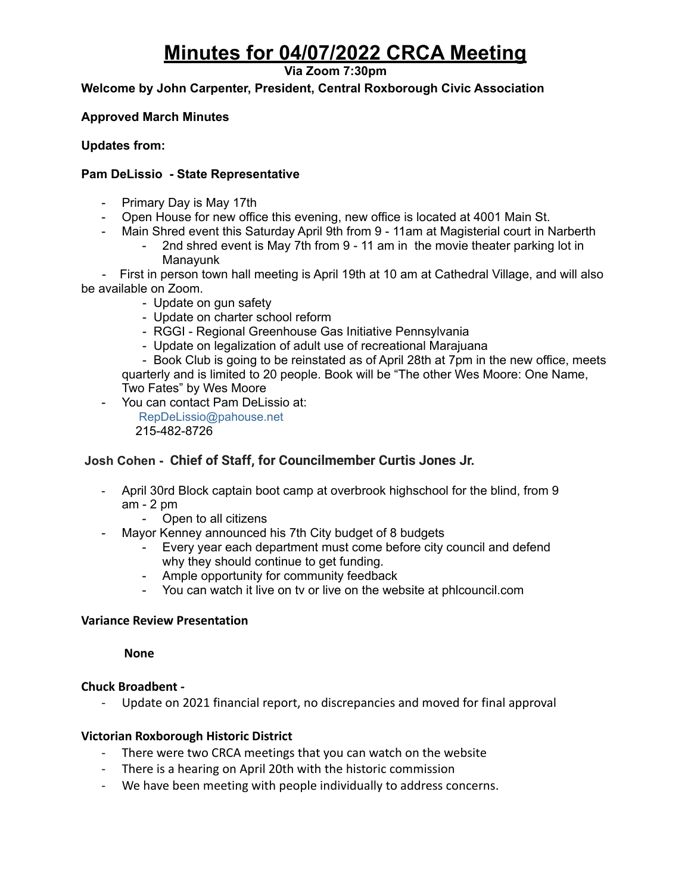# **Minutes for 04/07/2022 CRCA Meeting**

**Via Zoom 7:30pm**

**Welcome by John Carpenter, President, Central Roxborough Civic Association**

### **Approved March Minutes**

### **Updates from:**

### **Pam DeLissio - State Representative**

- Primary Day is May 17th
- Open House for new office this evening, new office is located at 4001 Main St.
- Main Shred event this Saturday April 9th from 9 11am at Magisterial court in Narberth
	- 2nd shred event is May 7th from 9 11 am in the movie theater parking lot in Manayunk

- First in person town hall meeting is April 19th at 10 am at Cathedral Village, and will also be available on Zoom.

- Update on gun safety
- Update on charter school reform
- RGGI Regional Greenhouse Gas Initiative Pennsylvania
- Update on legalization of adult use of recreational Marajuana

- Book Club is going to be reinstated as of April 28th at 7pm in the new office, meets quarterly and is limited to 20 people. Book will be "The other Wes Moore: One Name, Two Fates" by Wes Moore

- You can contact Pam DeLissio at:

RepDeLissio@pahouse.net 215-482-8726

### **Josh Cohen - Chief of Staff, for Councilmember Curtis Jones Jr.**

- April 30rd Block captain boot camp at overbrook highschool for the blind, from 9 am - 2 pm
	- Open to all citizens
- Mayor Kenney announced his 7th City budget of 8 budgets
	- Every year each department must come before city council and defend why they should continue to get funding.
	- Ample opportunity for community feedback
	- You can watch it live on tv or live on the website at phlcouncil.com

#### **Variance Review Presentation**

**None**

### **Chuck Broadbent -**

- Update on 2021 financial report, no discrepancies and moved for final approval

### **Victorian Roxborough Historic District**

- There were two CRCA meetings that you can watch on the website
- There is a hearing on April 20th with the historic commission
- We have been meeting with people individually to address concerns.